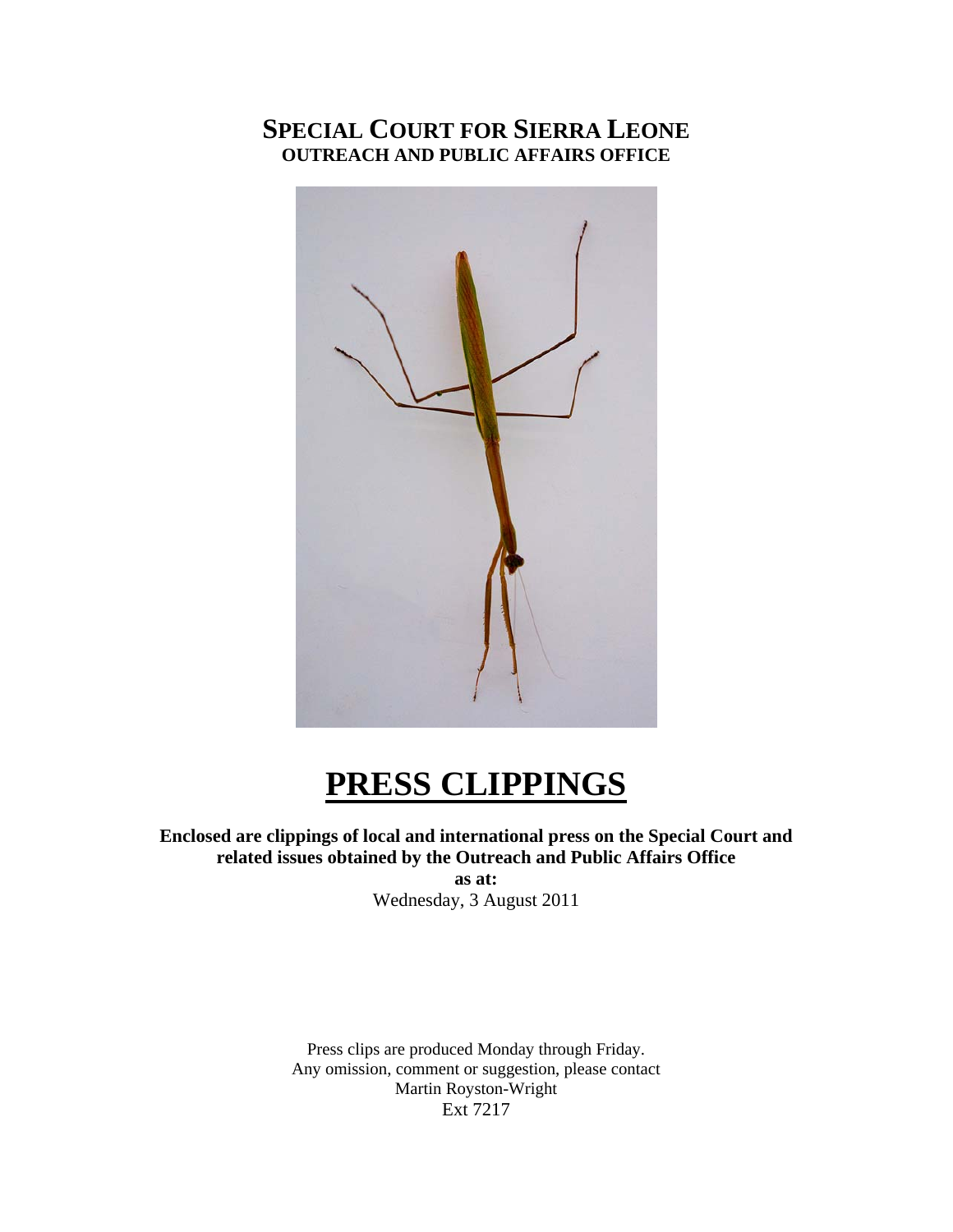## **SPECIAL COURT FOR SIERRA LEONE OUTREACH AND PUBLIC AFFAIRS OFFICE**



# **PRESS CLIPPINGS**

#### **Enclosed are clippings of local and international press on the Special Court and related issues obtained by the Outreach and Public Affairs Office**

**as at:**  Wednesday, 3 August 2011

Press clips are produced Monday through Friday. Any omission, comment or suggestion, please contact Martin Royston-Wright Ext 7217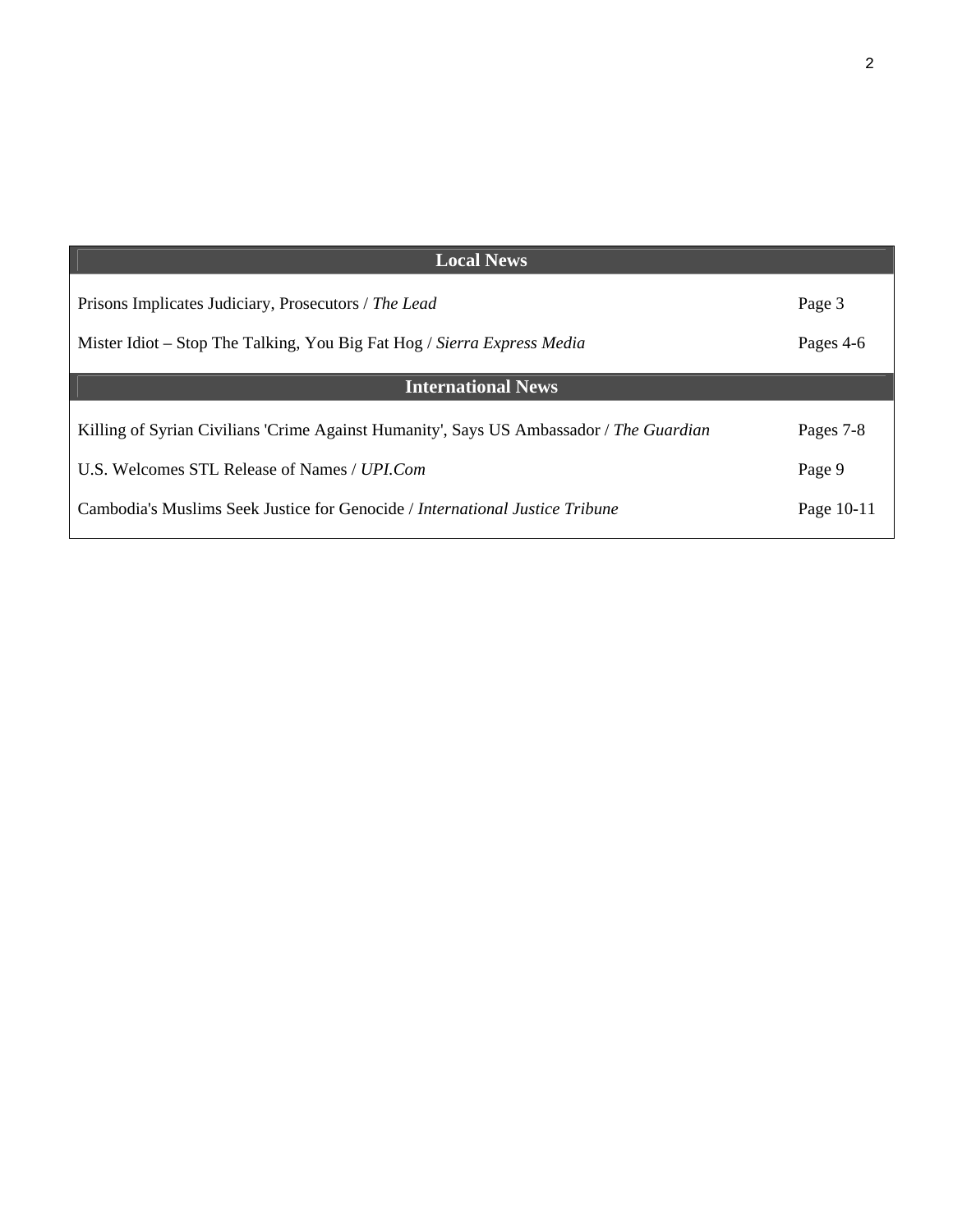| <b>Local News</b>                                                                       |            |
|-----------------------------------------------------------------------------------------|------------|
| Prisons Implicates Judiciary, Prosecutors / The Lead                                    | Page 3     |
| Mister Idiot – Stop The Talking, You Big Fat Hog / Sierra Express Media                 | Pages 4-6  |
| <b>International News</b>                                                               |            |
| Killing of Syrian Civilians 'Crime Against Humanity', Says US Ambassador / The Guardian | Pages 7-8  |
| U.S. Welcomes STL Release of Names / UPLCom                                             | Page 9     |
| Cambodia's Muslims Seek Justice for Genocide / International Justice Tribune            | Page 10-11 |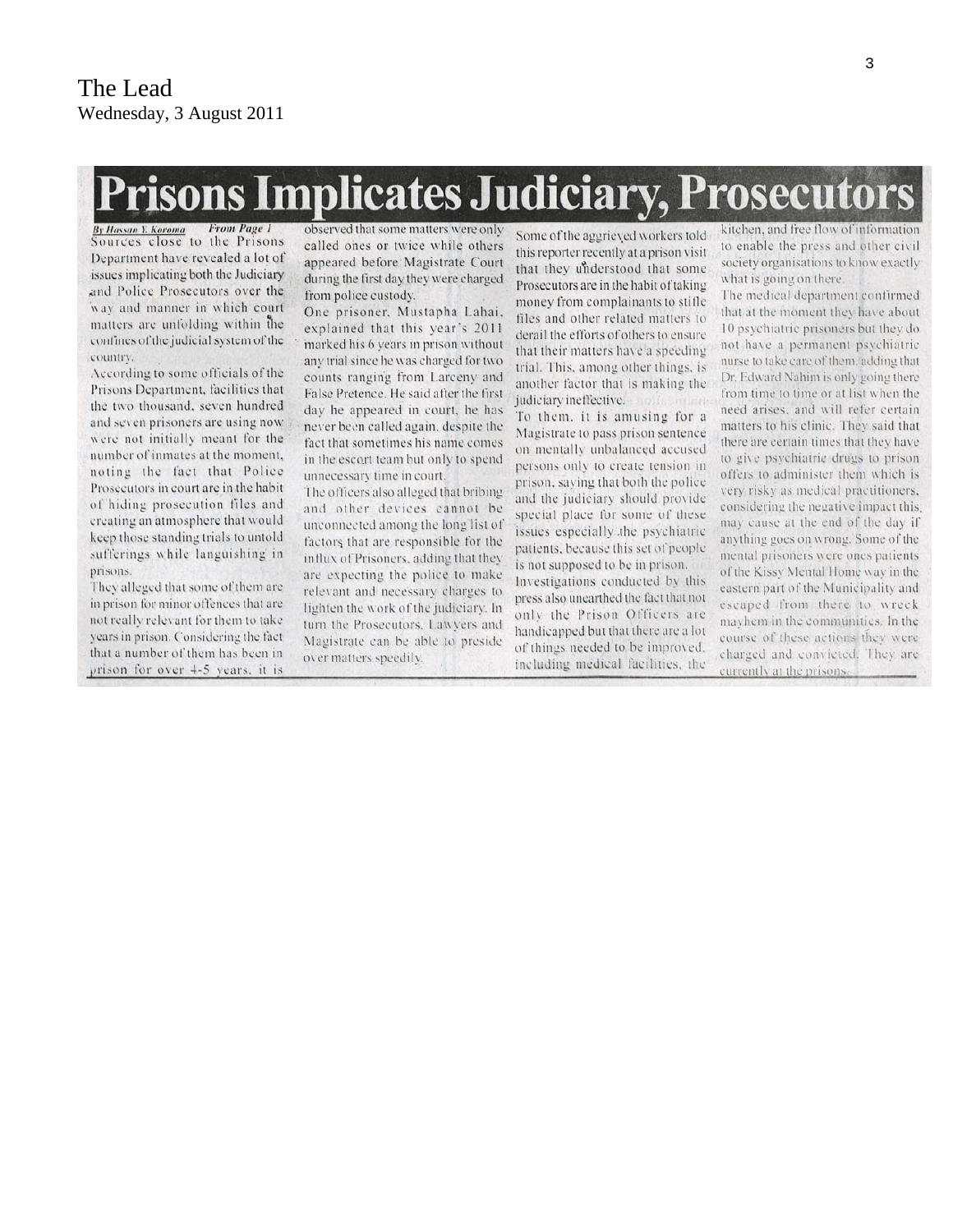# risons Implicates Judiciary, Prosecutors

**By Hassan Y. Koroma** From Page 1 Sources close to the Prisons Department have revealed a lot of issues implicating both the Judiciary and Police Prosecutors over the way and manner in which court matters are unfolding within the confines of the judicial system of the country

According to some officials of the Prisons Department, facilities that the two thousand, seven hundred and seven prisoners are using now were not initially meant for the number of inmates at the moment, noting the fact that Police Prosecutors in court are in the habit of hiding prosecution files and creating an atmosphere that would keep those standing trials to untold sufferings while languishing in prisons.

They alleged that some of them are in prison for minor offences that are not really relevant for them to take years in prison. Considering the fact that a number of them has been in prison for over 4-5 years, it is observed that some matters were only called ones or twice while others appeared before Magistrate Court during the first day they were charged from police custody.

One prisoner, Mustapha Lahai, explained that this year's 2011 marked his 6 years in prison without any trial since he was charged for two counts ranging from Larceny and False Pretence. He said after the first day he appeared in court, he has never been called again, despite the fact that sometimes his name comes in the escort team but only to spend unnecessary time in court.

The officers also alleged that bribing and other devices cannot be unconnected among the long list of factors that are responsible for the influx of Prisoners, adding that they are expecting the police to make relevant and necessary charges to lighten the work of the judiciary. In turn the Prosecutors, Lawvers and Magistrate can be able to preside over matters speedily.

Some of the aggricyed workers told this reporter recently at a prison visit that they understood that some Prosecutors are in the habit of taking money from complainants to stifle files and other related matters to derail the efforts of others to ensure that their matters have a speeding trial. This, among other things, is another factor that is making the judiciary ineffective. To them, it is amusing for a Magistrate to pass prison sentence on mentally unbalanced accused persons only to create tension in prison, saving that both the police and the judiciary should provide special place for some of these issues especially the psychiatric patients, because this set of people is not supposed to be in prison.

Investigations conducted by this press also unearthed the fact that not only the Prison Officers are handicapped but that there are a lot of things needed to be improved. including medical facilities, the

kitchen, and free flow of information to enable the press and other civil society organisations to know exactly what is going on there.

The medical department confirmed that at the moment they have about 10 psychiatric prisoners but they do not have a permanent psychiatric nurse to take care of them, adding that Dr. Edward Nahim is only going there from time to time or at list when the need arises, and will refer certain matters to his clinic. They said that there are certain times that they have to give psychiatric drugs to prisonoffers to administer them which is very risky as medical practitioners. considering the negative impact this; may cause at the end of the day if anything goes on wrong. Some of the mental prisoners were ones patients of the Kissy Mental Home way in the eastern part of the Municipality and escaped from there to wreck mayhem in the communities. In the course of these actions they were charged and convicted. They are currently at the prisons.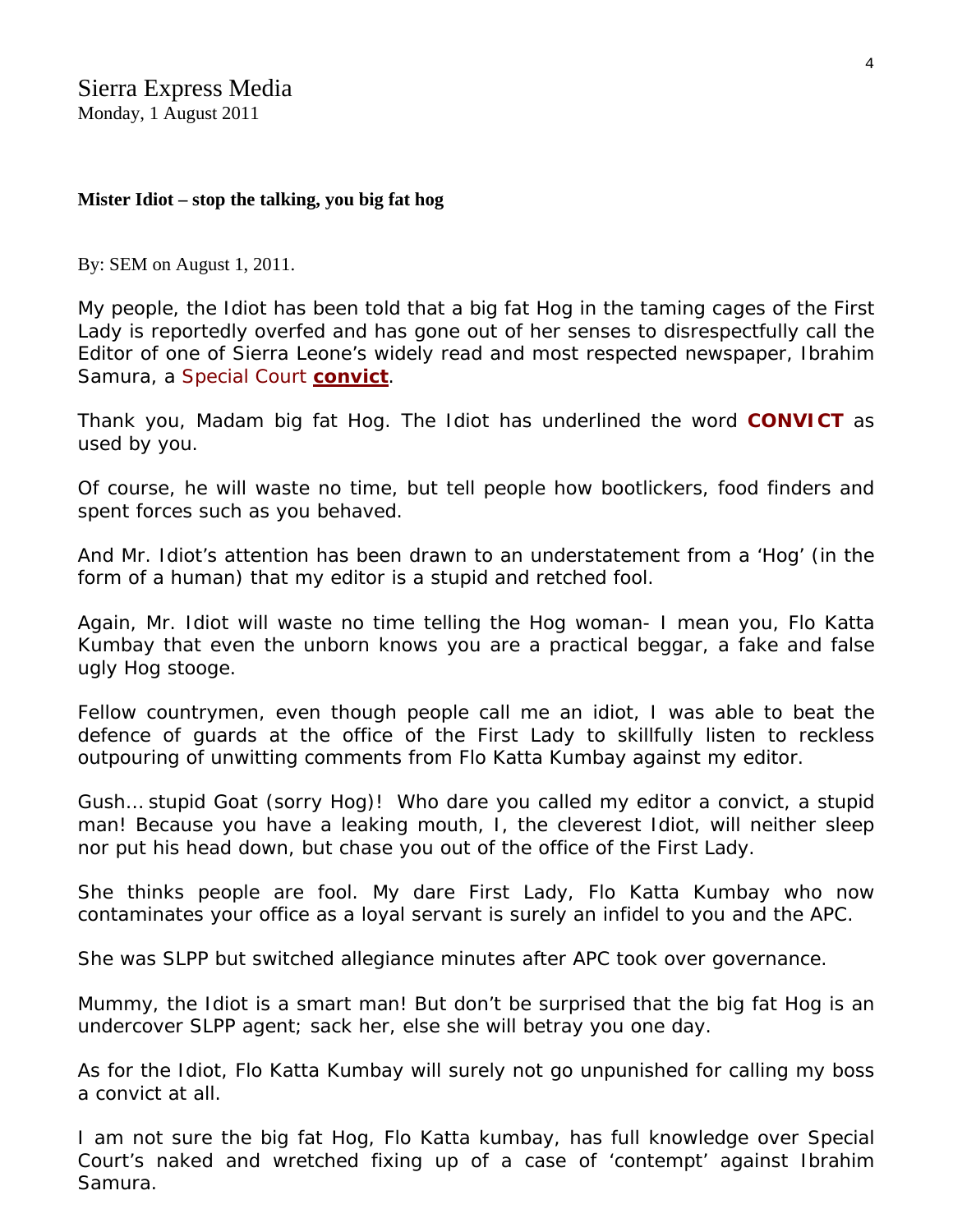#### **Mister Idiot – stop the talking, you big fat hog**

By: [SEM](http://www.sierraexpressmedia.com/archives/author/sierra-express-media) on August 1, 2011.

My people, the Idiot has been told that a big fat Hog in the taming cages of the First Lady is reportedly overfed and has gone out of her senses to disrespectfully call the Editor of one of Sierra Leone's widely read and most respected newspaper, Ibrahim Samura, a Special Court **convict**.

Thank you, Madam big fat Hog. The Idiot has underlined the word **CONVICT** as used by you.

Of course, he will waste no time, but tell people how bootlickers, food finders and spent forces such as you behaved.

And Mr. Idiot's attention has been drawn to an understatement from a 'Hog' (in the form of a human) that my editor is a stupid and retched fool.

Again, Mr. Idiot will waste no time telling the Hog woman- I mean you, Flo Katta Kumbay that even the unborn knows you are a practical beggar, a fake and false ugly Hog stooge.

Fellow countrymen, even though people call me an idiot, I was able to beat the defence of guards at the office of the First Lady to skillfully listen to reckless outpouring of unwitting comments from Flo Katta Kumbay against my editor.

Gush… stupid Goat (sorry Hog)! Who dare you called my editor a convict, a stupid man! Because you have a leaking mouth, I, the cleverest Idiot, will neither sleep nor put his head down, but chase you out of the office of the First Lady.

She thinks people are fool. My dare First Lady, Flo Katta Kumbay who now contaminates your office as a loyal servant is surely an infidel to you and the APC.

She was SLPP but switched allegiance minutes after APC took over governance.

Mummy, the Idiot is a smart man! But don't be surprised that the big fat Hog is an undercover SLPP agent; sack her, else she will betray you one day.

As for the Idiot, Flo Katta Kumbay will surely not go unpunished for calling my boss a convict at all.

I am not sure the big fat Hog, Flo Katta kumbay, has full knowledge over Special Court's naked and wretched fixing up of a case of 'contempt' against Ibrahim Samura.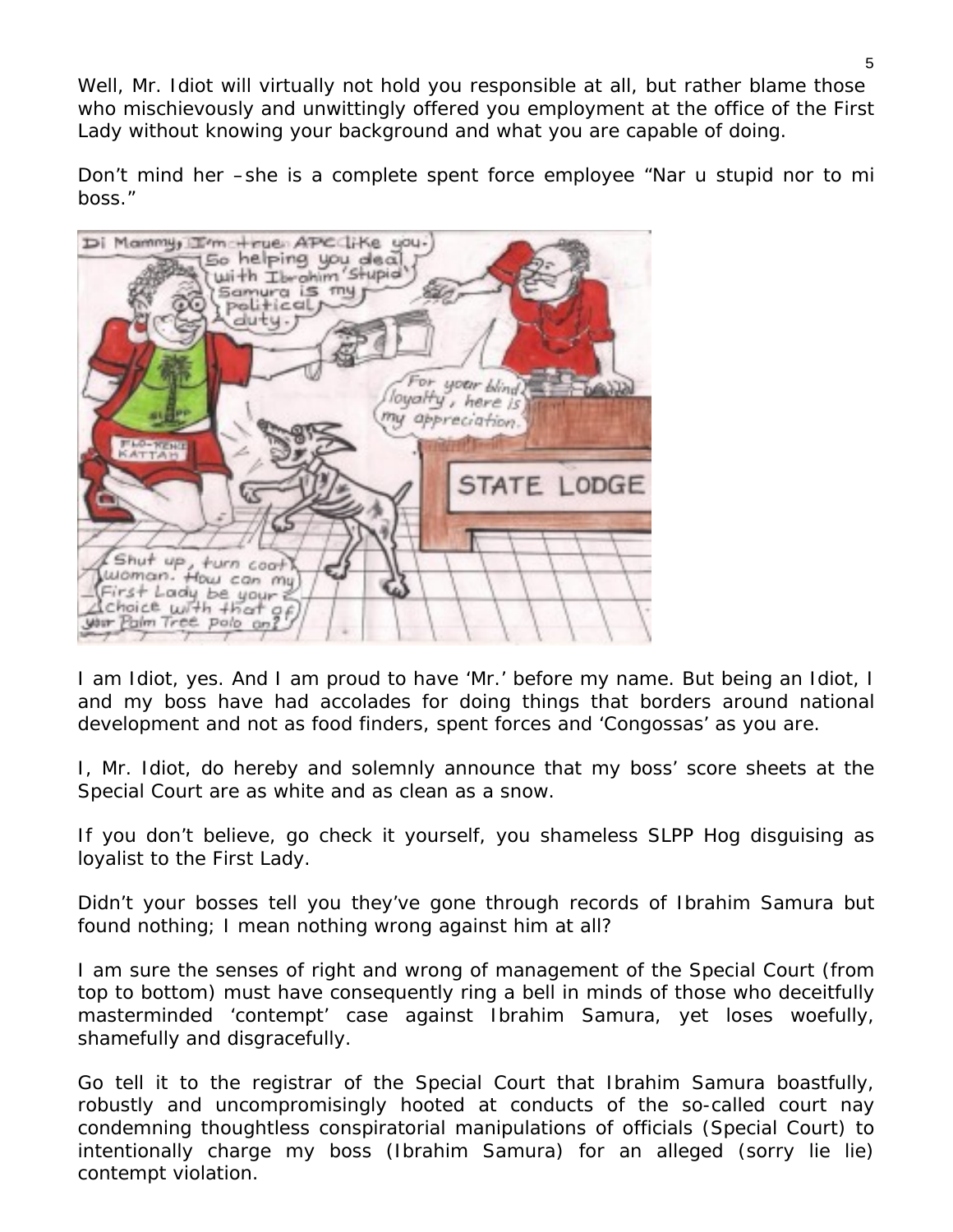Well, Mr. Idiot will virtually not hold you responsible at all, but rather blame those who mischievously and unwittingly offered you employment at the office of the First Lady without knowing your background and what you are capable of doing.

Don't mind her –she is a complete spent force employee "Nar u stupid nor to mi boss."



I am Idiot, yes. And I am proud to have 'Mr.' before my name. But being an Idiot, I and my boss have had accolades for doing things that borders around national development and not as food finders, spent forces and 'Congossas' as you are.

I, Mr. Idiot, do hereby and solemnly announce that my boss' score sheets at the Special Court are as white and as clean as a snow.

If you don't believe, go check it yourself, you shameless SLPP Hog disguising as loyalist to the First Lady.

Didn't your bosses tell you they've gone through records of Ibrahim Samura but found nothing; I mean nothing wrong against him at all?

I am sure the senses of right and wrong of management of the Special Court (from top to bottom) must have consequently ring a bell in minds of those who deceitfully masterminded 'contempt' case against Ibrahim Samura, yet loses woefully, shamefully and disgracefully.

Go tell it to the registrar of the Special Court that Ibrahim Samura boastfully, robustly and uncompromisingly hooted at conducts of the so-called court nay condemning thoughtless conspiratorial manipulations of officials (Special Court) to intentionally charge my boss (Ibrahim Samura) for an alleged (sorry lie lie) contempt violation.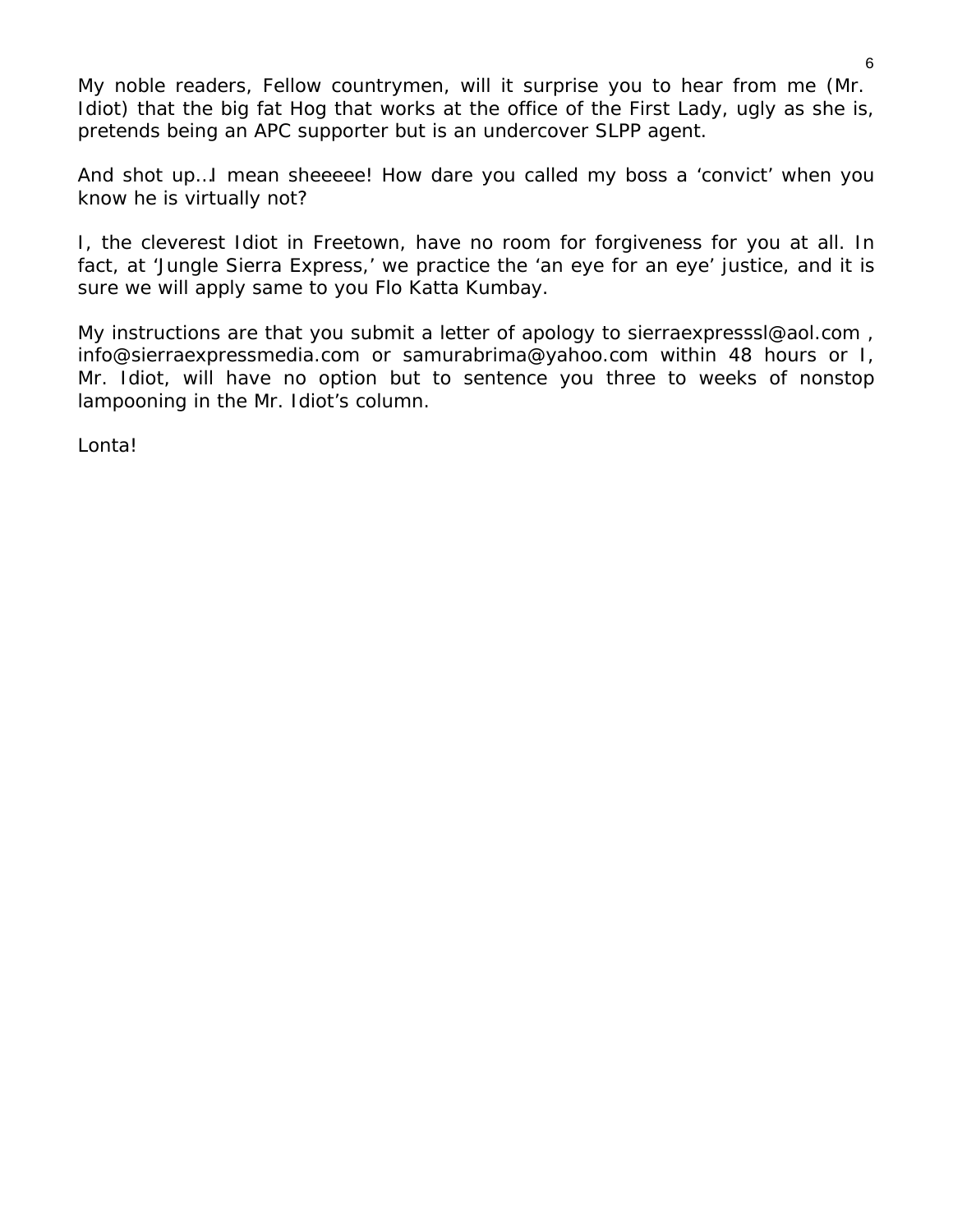My noble readers, Fellow countrymen, will it surprise you to hear from me (Mr. Idiot) that the big fat Hog that works at the office of the First Lady, ugly as she is, pretends being an APC supporter but is an undercover SLPP agent.

And shot up... I mean sheeeee! How dare you called my boss a 'convict' when you know he is virtually not?

I, the cleverest Idiot in Freetown, have no room for forgiveness for you at all. In fact, at 'Jungle Sierra Express,' we practice the 'an eye for an eye' justice, and it is sure we will apply same to you Flo Katta Kumbay.

*My instructions are that you submit a letter of apology to [sierraexpresssl@aol.com](mailto:sierraexpresssl@aol.com) , [info@sierraexpressmedia.com](mailto:info@sierraexpressmedia.com) or [samurabrima@yahoo.com](mailto:samurabrima@yahoo.com) within 48 hours or I, Mr. Idiot, will have no option but to sentence you three to weeks of nonstop lampooning in the Mr. Idiot's column.* 

*Lonta!*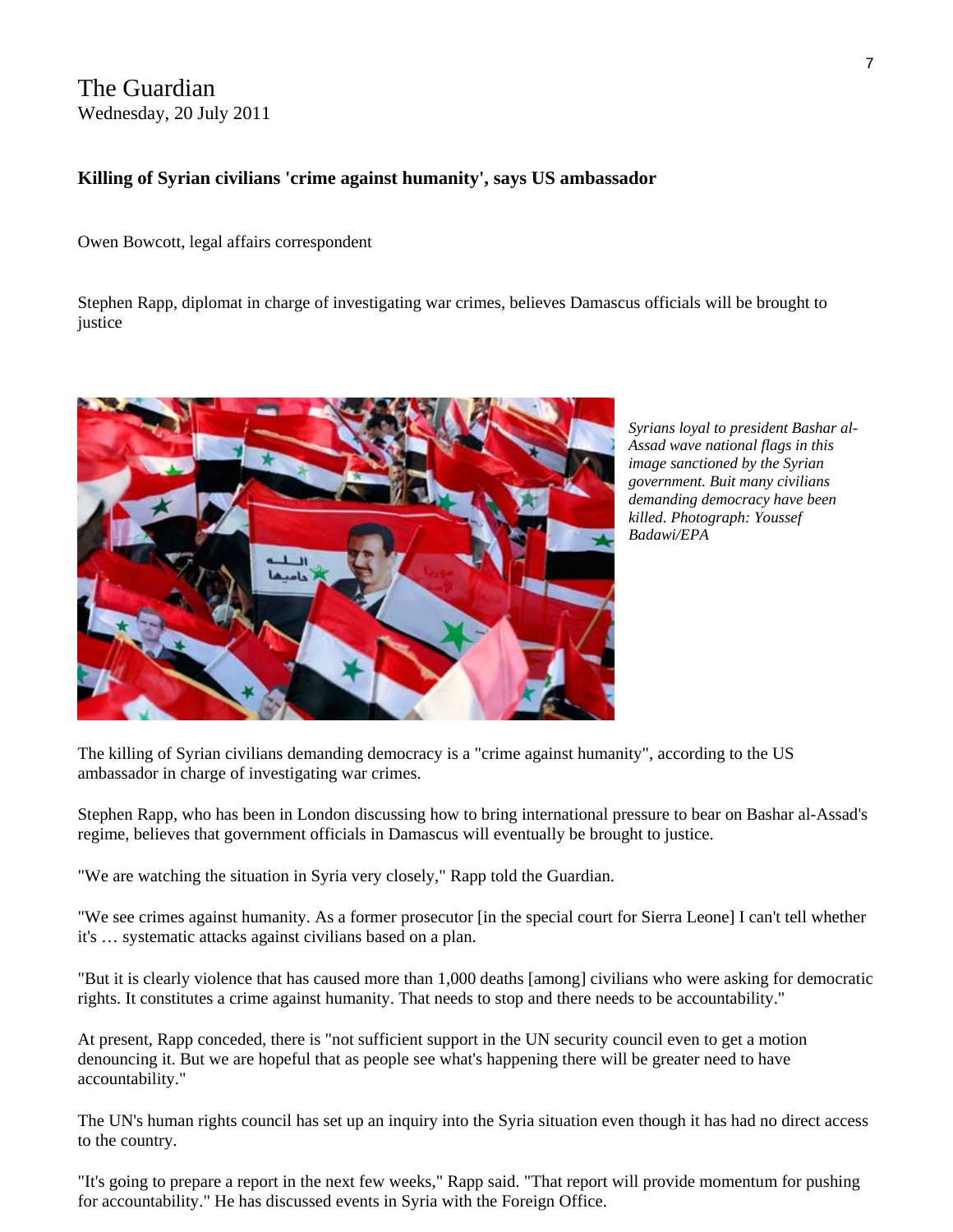The Guardian Wednesday, 20 July 2011

#### **Killing of Syrian civilians 'crime against humanity', says US ambassador**

Owen Bowcott, legal affairs correspondent

Stephen Rapp, diplomat in charge of investigating war crimes, believes Damascus officials will be brought to justice



*Syrians loyal to president Bashar al-Assad wave national flags in this image sanctioned by the Syrian government. Buit many civilians demanding democracy have been killed. Photograph: Youssef Badawi/EPA* 

The killing of Syrian civilians demanding democracy is a "crime against humanity", according to the US ambassador in charge of investigating [war crimes](http://www.guardian.co.uk/law/war-crimes).

Stephen Rapp, who has been in London discussing how to bring international pressure to bear on [Bashar al-Assad](http://www.guardian.co.uk/world/bashar-al-assad)'s regime, believes that government officials in Damascus will eventually be brought to justice.

"We are watching the situation in [Syria](http://www.guardian.co.uk/world/syria) very closely," Rapp told the Guardian.

"We see crimes against humanity. As a former prosecutor [in the special court for [Sierra Leone\]](http://www.guardian.co.uk/world/sierraleone) I can't tell whether it's … systematic attacks against civilians based on a plan.

"But it is clearly violence that has caused more than 1,000 deaths [among] civilians who were asking for democratic rights. It constitutes a crime against humanity. That needs to stop and there needs to be accountability."

At present, Rapp conceded, there is "not sufficient support in the UN security council even to get a motion denouncing it. But we are hopeful that as people see what's happening there will be greater need to have accountability."

The UN's human rights council has set up an inquiry into the Syria situation even though it has had no direct access to the country.

"It's going to prepare a report in the next few weeks," Rapp said. "That report will provide momentum for pushing for accountability." He has discussed events in Syria with the Foreign Office.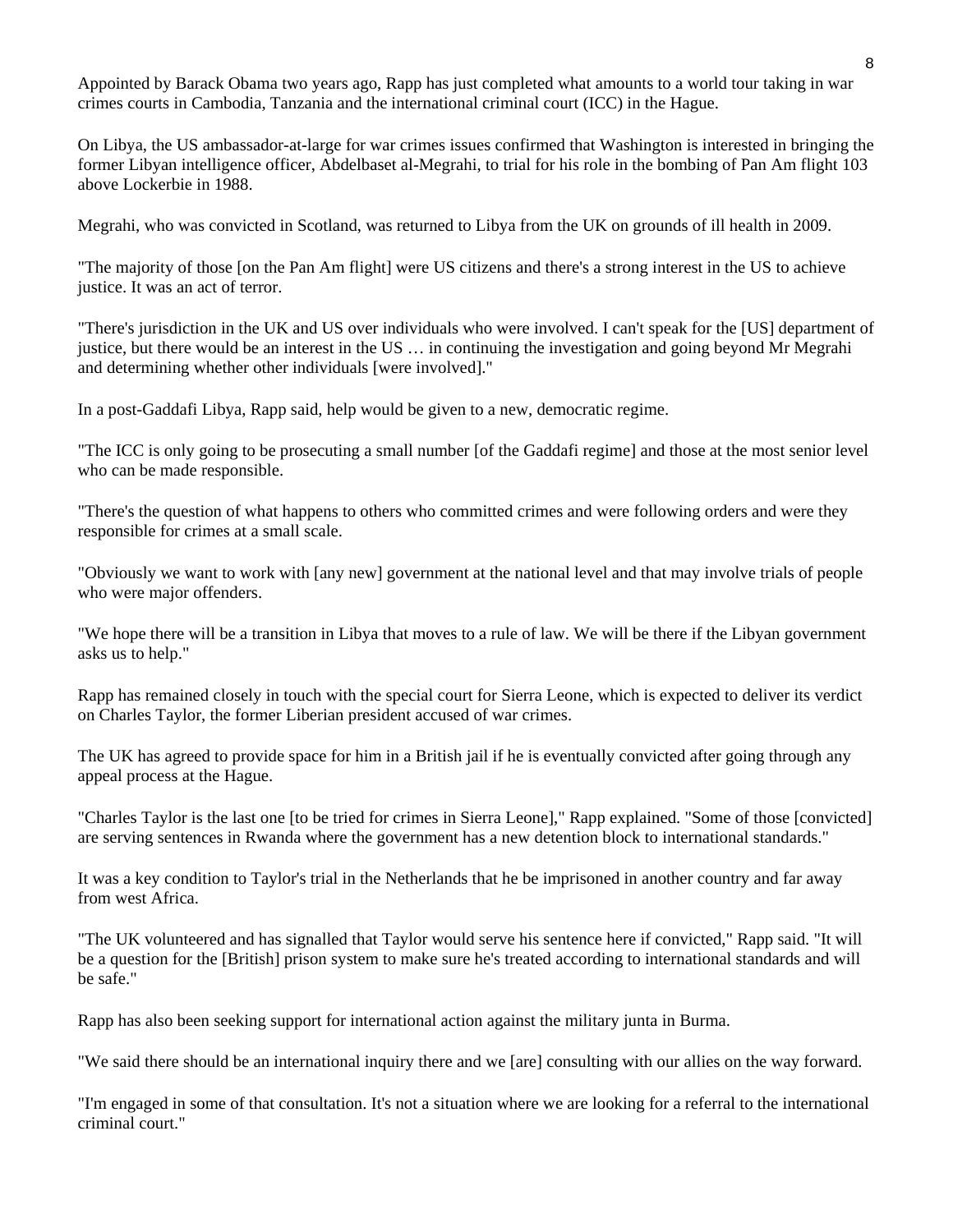Appointed by Barack Obama two years ago, Rapp has just completed what amounts to a world tour taking in war crimes courts in Cambodia, Tanzania and the [international criminal court](http://www.guardian.co.uk/law/international-criminal-court) (ICC) in the Hague.

On [Libya,](http://www.guardian.co.uk/world/libya) the US ambassador-at-large for war crimes issues confirmed that Washington is interested in bringing the former Libyan intelligence officer, [Abdelbaset al-Megrahi,](http://www.guardian.co.uk/world/abdelbaset-al-megrahi) to trial for his role in the bombing of Pan Am flight 103 above Lockerbie in 1988.

Megrahi, who was convicted in Scotland, was returned to Libya from the UK on grounds of ill health in 2009.

"The majority of those [on the Pan Am flight] were US citizens and there's a strong interest in the US to achieve justice. It was an act of terror.

"There's jurisdiction in the UK and US over individuals who were involved. I can't speak for the [US] department of justice, but there would be an interest in the US … in continuing the investigation and going beyond Mr Megrahi and determining whether other individuals [were involved]."

In a post-Gaddafi Libya, Rapp said, help would be given to a new, democratic regime.

"The ICC is only going to be prosecuting a small number [of the Gaddafi regime] and those at the most senior level who can be made responsible.

"There's the question of what happens to others who committed crimes and were following orders and were they responsible for crimes at a small scale.

"Obviously we want to work with [any new] government at the national level and that may involve trials of people who were major offenders.

"We hope there will be a transition in Libya that moves to a rule of law. We will be there if the Libyan government asks us to help."

Rapp has remained closely in touch with the special court for Sierra Leone, which is expected to deliver its verdict on [Charles Taylor](http://www.guardian.co.uk/world/charles-taylor), the former Liberian president accused of war crimes.

The UK has agreed to provide space for him in a British jail if he is eventually convicted after going through any appeal process at the Hague.

"Charles Taylor is the last one [to be tried for crimes in Sierra Leone]," Rapp explained. "Some of those [convicted] are serving sentences in Rwanda where the government has a new detention block to international standards."

It was a key condition to Taylor's trial in the Netherlands that he be imprisoned in another country and far away from west [Africa](http://www.guardian.co.uk/world/africa).

"The UK volunteered and has signalled that Taylor would serve his sentence here if convicted," Rapp said. "It will be a question for the [British] prison system to make sure he's treated according to international standards and will be safe."

Rapp has also been seeking support for international action against the military junta in Burma.

"We said there should be an international inquiry there and we [are] consulting with our allies on the way forward.

"I'm engaged in some of that consultation. It's not a situation where we are looking for a referral to the international criminal court."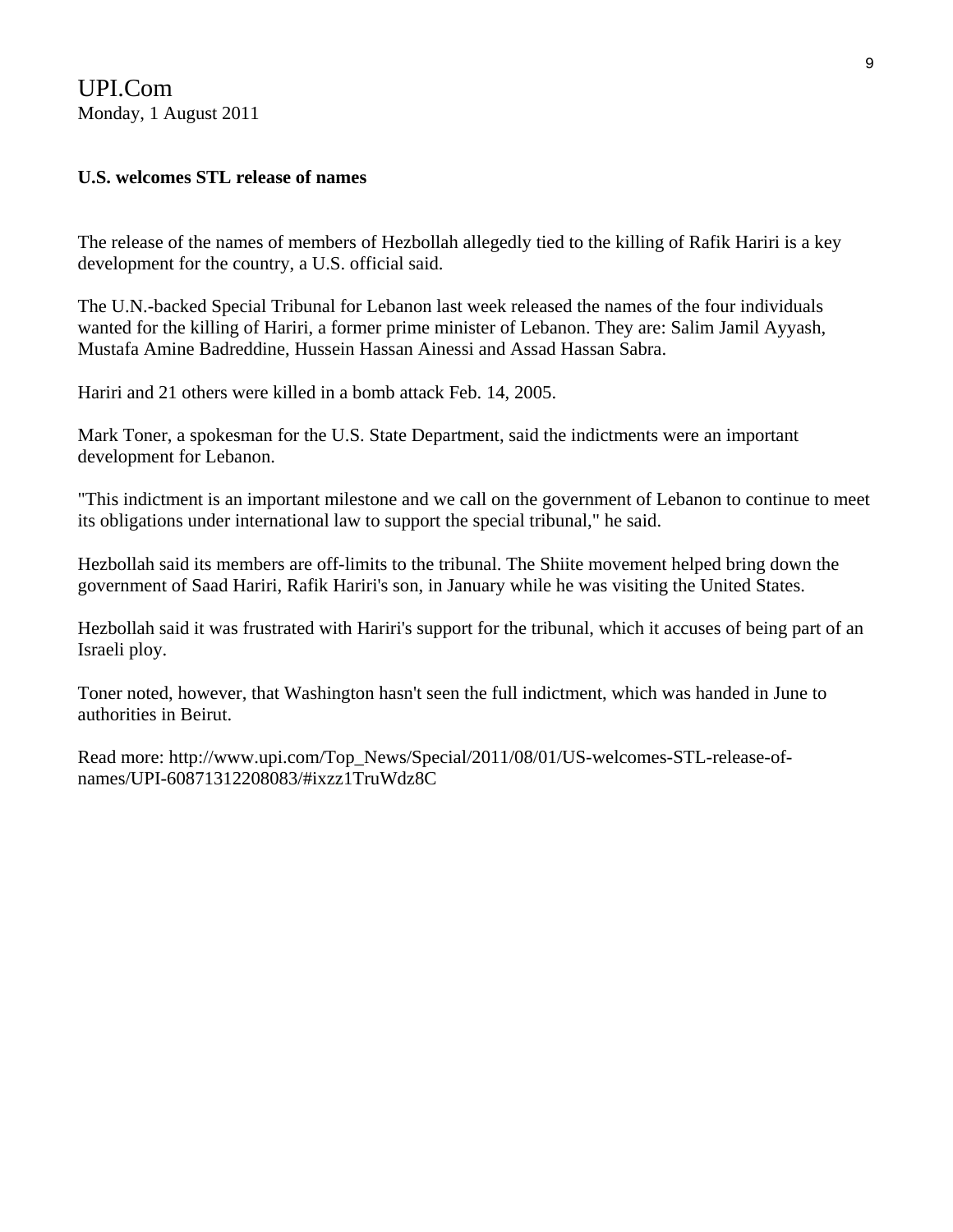UPI.Com Monday, 1 August 2011

#### **U.S. welcomes STL release of names**

The release of the names of members of Hezbollah allegedly tied to the killing of Rafik Hariri is a key development for the country, a U.S. official said.

The U.N.-backed Special Tribunal for Lebanon last week released the names of the four individuals wanted for the killing of Hariri, a former prime minister of Lebanon. They are: Salim Jamil Ayyash, Mustafa Amine Badreddine, Hussein Hassan Ainessi and Assad Hassan Sabra.

Hariri and 21 others were killed in a bomb attack Feb. 14, 2005.

Mark Toner, a spokesman for the U.S. State Department, said the indictments were an important development for Lebanon.

"This indictment is an important milestone and we call on the government of Lebanon to continue to meet its obligations under international law to support the special tribunal," he said.

Hezbollah said its members are off-limits to the tribunal. The Shiite movement helped bring down the government of Saad Hariri, Rafik Hariri's son, in January while he was visiting the United States.

Hezbollah said it was frustrated with Hariri's support for the tribunal, which it accuses of being part of an Israeli ploy.

Toner noted, however, that Washington hasn't seen the full indictment, which was handed in June to authorities in Beirut.

Read more: http://www.upi.com/Top\_News/Special/2011/08/01/US-welcomes-STL-release-ofnames/UPI-60871312208083/#ixzz1TruWdz8C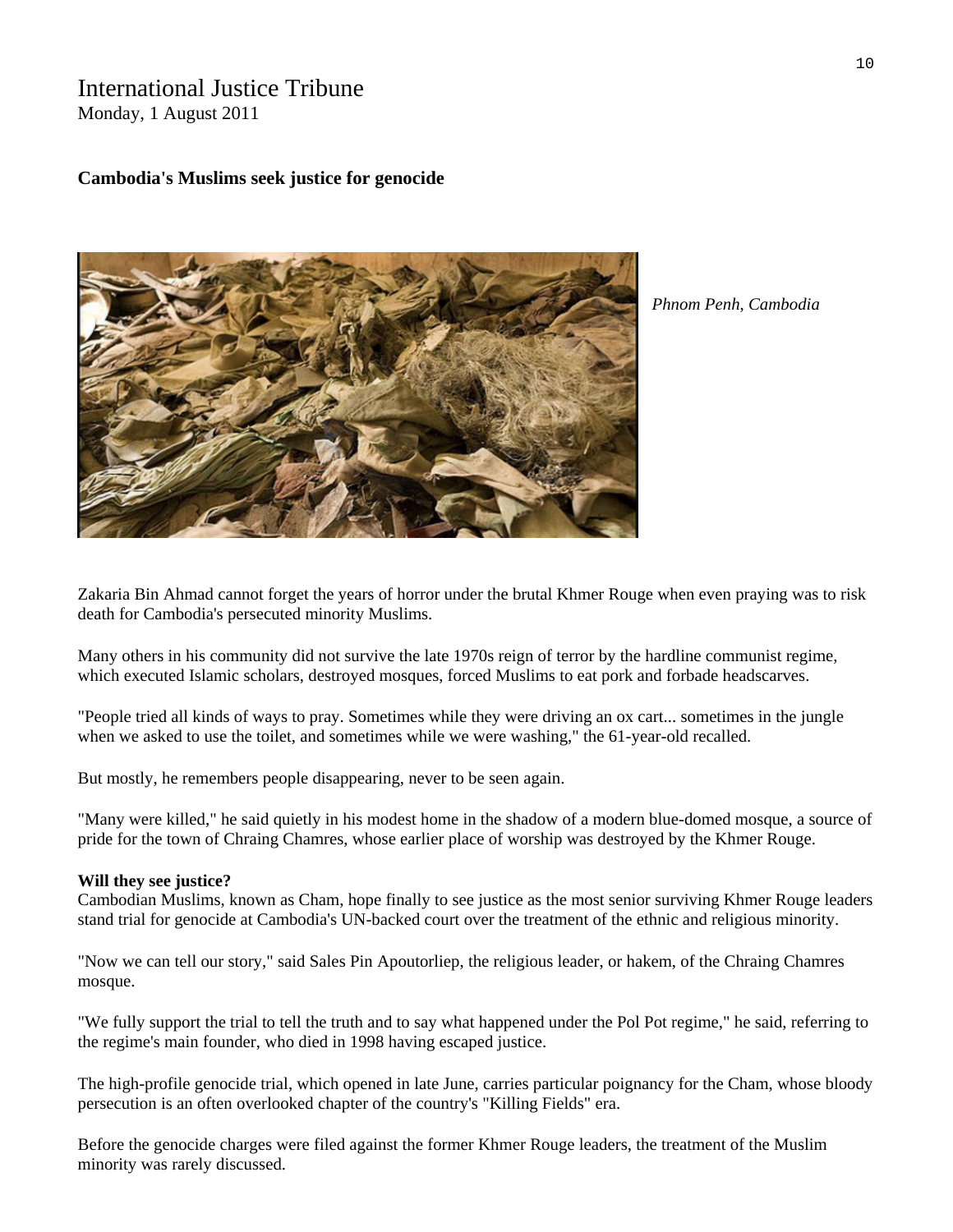### International Justice Tribune

Monday, 1 August 2011

#### **Cambodia's Muslims seek justice for genocide**



*Phnom Penh, Cambodia* 

Zakaria Bin Ahmad cannot forget the years of horror under the brutal Khmer Rouge when even praying was to risk death for Cambodia's persecuted minority Muslims.

Many others in his community did not survive the late 1970s reign of terror by the hardline communist regime, which executed Islamic scholars, destroyed mosques, forced Muslims to eat pork and forbade headscarves.

"People tried all kinds of ways to pray. Sometimes while they were driving an ox cart... sometimes in the jungle when we asked to use the toilet, and sometimes while we were washing," the 61-year-old recalled.

But mostly, he remembers people disappearing, never to be seen again.

"Many were killed," he said quietly in his modest home in the shadow of a modern blue-domed mosque, a source of pride for the town of Chraing Chamres, whose earlier place of worship was destroyed by the Khmer Rouge.

#### **Will they see justice?**

Cambodian Muslims, known as Cham, hope finally to see justice as the most senior surviving Khmer Rouge leaders stand trial for genocide at Cambodia's UN-backed court over the treatment of the ethnic and religious minority.

"Now we can tell our story," said Sales Pin Apoutorliep, the religious leader, or hakem, of the Chraing Chamres mosque.

"We fully support the trial to tell the truth and to say what happened under the Pol Pot regime," he said, referring to the regime's main founder, who died in 1998 having escaped justice.

The high-profile genocide trial, which opened in late June, carries particular poignancy for the Cham, whose bloody persecution is an often overlooked chapter of the country's "Killing Fields" era.

Before the genocide charges were filed against the former Khmer Rouge leaders, the treatment of the Muslim minority was rarely discussed.